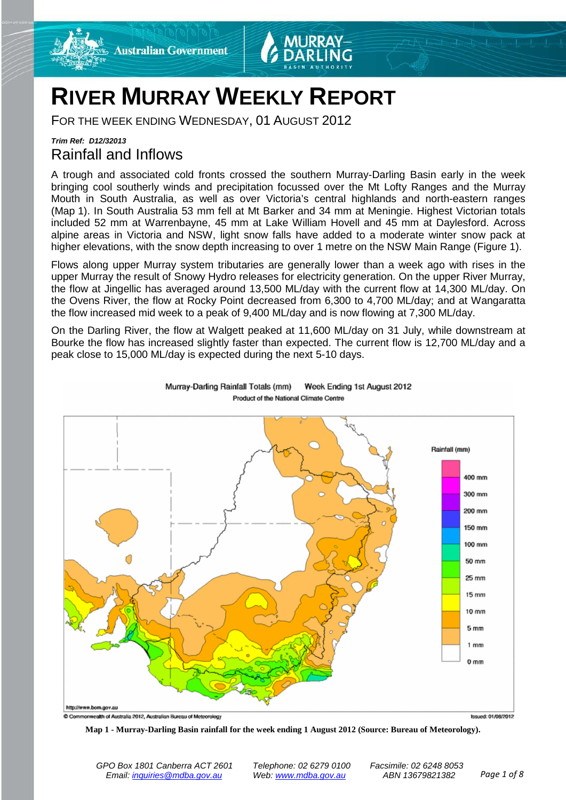



## **RIVER MURRAY WEEKLY REPORT**

FOR THE WEEK ENDING WEDNESDAY, 01 AUGUST 2012

#### *Trim Ref: D12/32013* Rainfall and Inflows

A trough and associated cold fronts crossed the southern Murray-Darling Basin early in the week bringing cool southerly winds and precipitation focussed over the Mt Lofty Ranges and the Murray Mouth in South Australia, as well as over Victoria's central highlands and north-eastern ranges (Map 1). In South Australia 53 mm fell at Mt Barker and 34 mm at Meningie. Highest Victorian totals included 52 mm at Warrenbayne, 45 mm at Lake William Hovell and 45 mm at Daylesford. Across alpine areas in Victoria and NSW, light snow falls have added to a moderate winter snow pack at higher elevations, with the snow depth increasing to over 1 metre on the NSW Main Range (Figure 1).

Flows along upper Murray system tributaries are generally lower than a week ago with rises in the upper Murray the result of Snowy Hydro releases for electricity generation. On the upper River Murray, the flow at Jingellic has averaged around 13,500 ML/day with the current flow at 14,300 ML/day. On the Ovens River, the flow at Rocky Point decreased from 6,300 to 4,700 ML/day; and at Wangaratta the flow increased mid week to a peak of 9,400 ML/day and is now flowing at 7,300 ML/day.

On the Darling River, the flow at Walgett peaked at 11,600 ML/day on 31 July, while downstream at Bourke the flow has increased slightly faster than expected. The current flow is 12,700 ML/day and a peak close to 15,000 ML/day is expected during the next 5-10 days.



Murray-Darling Rainfall Totals (mm) Week Ending 1st August 2012 Product of the National Climate Centre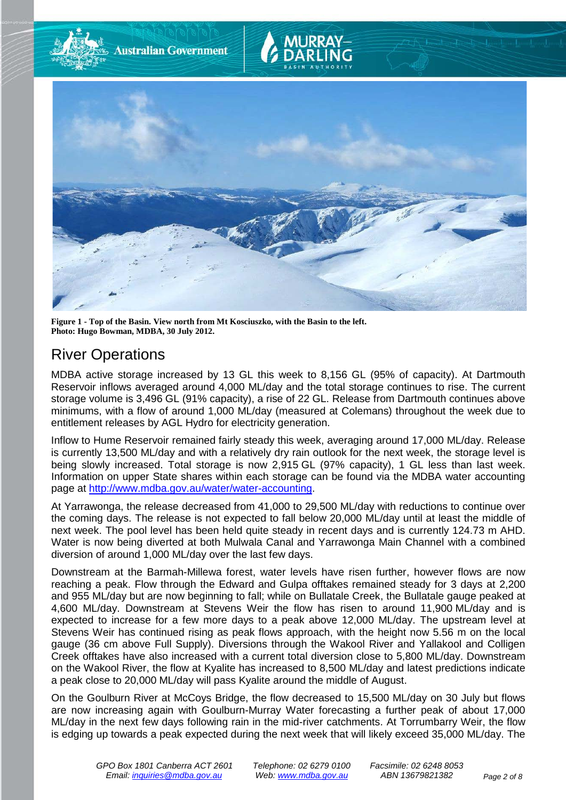

**Figure 1 - Top of the Basin. View north from Mt Kosciuszko, with the Basin to the left. Photo: Hugo Bowman, MDBA, 30 July 2012.**

## River Operations

MDBA active storage increased by 13 GL this week to 8,156 GL (95% of capacity). At Dartmouth Reservoir inflows averaged around 4,000 ML/day and the total storage continues to rise. The current storage volume is 3,496 GL (91% capacity), a rise of 22 GL. Release from Dartmouth continues above minimums, with a flow of around 1,000 ML/day (measured at Colemans) throughout the week due to entitlement releases by AGL Hydro for electricity generation.

Inflow to Hume Reservoir remained fairly steady this week, averaging around 17,000 ML/day. Release is currently 13,500 ML/day and with a relatively dry rain outlook for the next week, the storage level is being slowly increased. Total storage is now 2,915 GL (97% capacity), 1 GL less than last week. Information on upper State shares within each storage can be found via the MDBA water accounting page at [http://www.mdba.gov.au/water/water-accounting.](http://www.mdba.gov.au/water/water-accounting)

At Yarrawonga, the release decreased from 41,000 to 29,500 ML/day with reductions to continue over the coming days. The release is not expected to fall below 20,000 ML/day until at least the middle of next week. The pool level has been held quite steady in recent days and is currently 124.73 m AHD. Water is now being diverted at both Mulwala Canal and Yarrawonga Main Channel with a combined diversion of around 1,000 ML/day over the last few days.

Downstream at the Barmah-Millewa forest, water levels have risen further, however flows are now reaching a peak. Flow through the Edward and Gulpa offtakes remained steady for 3 days at 2,200 and 955 ML/day but are now beginning to fall; while on Bullatale Creek, the Bullatale gauge peaked at 4,600 ML/day. Downstream at Stevens Weir the flow has risen to around 11,900 ML/day and is expected to increase for a few more days to a peak above 12,000 ML/day. The upstream level at Stevens Weir has continued rising as peak flows approach, with the height now 5.56 m on the local gauge (36 cm above Full Supply). Diversions through the Wakool River and Yallakool and Colligen Creek offtakes have also increased with a current total diversion close to 5,800 ML/day. Downstream on the Wakool River, the flow at Kyalite has increased to 8,500 ML/day and latest predictions indicate a peak close to 20,000 ML/day will pass Kyalite around the middle of August.

On the Goulburn River at McCoys Bridge, the flow decreased to 15,500 ML/day on 30 July but flows are now increasing again with Goulburn-Murray Water forecasting a further peak of about 17,000 ML/day in the next few days following rain in the mid-river catchments. At Torrumbarry Weir, the flow is edging up towards a peak expected during the next week that will likely exceed 35,000 ML/day. The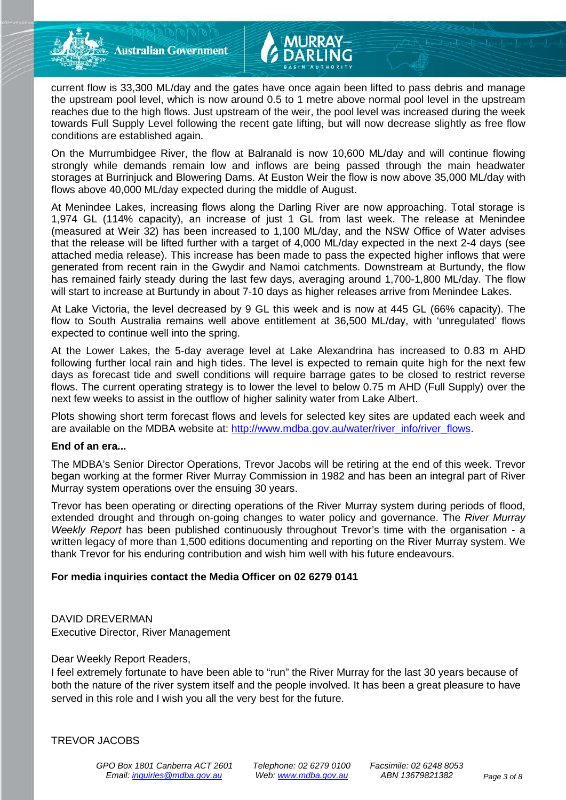**Australian Government** 



On the Murrumbidgee River, the flow at Balranald is now 10,600 ML/day and will continue flowing strongly while demands remain low and inflows are being passed through the main headwater storages at Burrinjuck and Blowering Dams. At Euston Weir the flow is now above 35,000 ML/day with flows above 40,000 ML/day expected during the middle of August.

At Menindee Lakes, increasing flows along the Darling River are now approaching. Total storage is 1,974 GL (114% capacity), an increase of just 1 GL from last week. The release at Menindee (measured at Weir 32) has been increased to 1,100 ML/day, and the NSW Office of Water advises that the release will be lifted further with a target of 4,000 ML/day expected in the next 2-4 days (see attached media release). This increase has been made to pass the expected higher inflows that were generated from recent rain in the Gwydir and Namoi catchments. Downstream at Burtundy, the flow has remained fairly steady during the last few days, averaging around 1,700-1,800 ML/day. The flow will start to increase at Burtundy in about 7-10 days as higher releases arrive from Menindee Lakes.

At Lake Victoria, the level decreased by 9 GL this week and is now at 445 GL (66% capacity). The flow to South Australia remains well above entitlement at 36,500 ML/day, with 'unregulated' flows expected to continue well into the spring.

At the Lower Lakes, the 5-day average level at Lake Alexandrina has increased to 0.83 m AHD following further local rain and high tides. The level is expected to remain quite high for the next few days as forecast tide and swell conditions will require barrage gates to be closed to restrict reverse flows. The current operating strategy is to lower the level to below 0.75 m AHD (Full Supply) over the next few weeks to assist in the outflow of higher salinity water from Lake Albert.

Plots showing short term forecast flows and levels for selected key sites are updated each week and are available on the MDBA website at: [http://www.mdba.gov.au/water/river\\_info/river\\_flows.](http://www.mdba.gov.au/water/river_info/river_flows)

#### **End of an era...**

The MDBA's Senior Director Operations, Trevor Jacobs will be retiring at the end of this week. Trevor began working at the former River Murray Commission in 1982 and has been an integral part of River Murray system operations over the ensuing 30 years.

Trevor has been operating or directing operations of the River Murray system during periods of flood, extended drought and through on-going changes to water policy and governance. The *River Murray Weekly Report* has been published continuously throughout Trevor's time with the organisation - a written legacy of more than 1,500 editions documenting and reporting on the River Murray system. We thank Trevor for his enduring contribution and wish him well with his future endeavours.

#### **For media inquiries contact the Media Officer on 02 6279 0141**

#### DAVID DREVERMAN Executive Director, River Management

#### Dear Weekly Report Readers,

I feel extremely fortunate to have been able to "run" the River Murray for the last 30 years because of both the nature of the river system itself and the people involved. It has been a great pleasure to have served in this role and I wish you all the very best for the future.

TREVOR JACOBS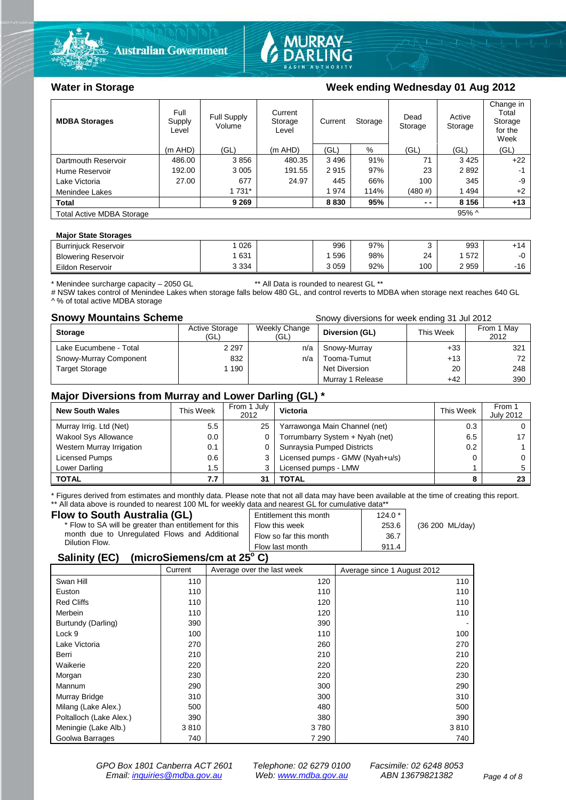



#### Water in Storage Week ending Wednesday 01 Aug 2012

| <b>MDBA Storages</b>             | Full<br>Supply<br>Level | Full Supply<br>Volume | Current<br>Storage<br>Level | Current | Storage | Dead<br>Storage | Active<br>Storage | Change in<br>Total<br>Storage<br>for the<br>Week |
|----------------------------------|-------------------------|-----------------------|-----------------------------|---------|---------|-----------------|-------------------|--------------------------------------------------|
|                                  | $(m$ AHD)               | (GL)                  | (m AHD)                     | (GL)    | %       | (GL)            | (GL)              | (GL)                                             |
| Dartmouth Reservoir              | 486.00                  | 3856                  | 480.35                      | 3496    | 91%     | 71              | 3425              | $+22$                                            |
| Hume Reservoir                   | 192.00                  | 3 0 0 5               | 191.55                      | 2915    | 97%     | 23              | 2892              | -1                                               |
| Lake Victoria                    | 27.00                   | 677                   | 24.97                       | 445     | 66%     | 100             | 345               | -9                                               |
| Menindee Lakes                   |                         | 1 731*                |                             | 1974    | 114%    | (480#)          | 1494              | $+2$                                             |
| <b>Total</b>                     |                         | 9 2 6 9               |                             | 8830    | 95%     | $ -$            | 8 1 5 6           | $+13$                                            |
| <b>Total Active MDBA Storage</b> |                         |                       |                             |         |         |                 | $95\%$ ^          |                                                  |

#### **Major State Storages**

| <b>Burriniuck Reservoir</b> | 026     | 996  | 97% |     | 993  | . .          |
|-----------------------------|---------|------|-----|-----|------|--------------|
| <b>Blowering Reservoir</b>  | 631     | 596  | 98% | 24  | 572  | -∩           |
| Eildon Reservoir            | 3 3 3 4 | 3059 | 92% | 100 | 2959 | $-16$<br>10. |

\* Menindee surcharge capacity – 2050 GL \*\* All Data is rounded to nearest GL \*\*

# NSW takes control of Menindee Lakes when storage falls below 480 GL, and control reverts to MDBA when storage next reaches 640 GL ^ % of total active MDBA storage

**Snowy Mountains Scheme Snowy diversions for week ending 31 Jul 2012** 

| <b>Storage</b>         | <b>Active Storage</b><br>(GL) | Weekly Change<br>(GL) | Diversion (GL)   | This Week | From 1 May<br>2012 |
|------------------------|-------------------------------|-----------------------|------------------|-----------|--------------------|
| Lake Eucumbene - Total | 2 2 9 7                       | n/a                   | Snowy-Murray     | $+33$     | 321                |
| Snowy-Murray Component | 832                           | n/a                   | Tooma-Tumut      | $+13$     | 72                 |
| Target Storage         | 1 190                         |                       | Net Diversion    | 20        | 248                |
|                        |                               |                       | Murray 1 Release | $+42$     | 390                |

#### **Major Diversions from Murray and Lower Darling (GL) \***

| <b>New South Wales</b>    | This Week | From 1 July<br>2012 | Victoria                        | This Week | From 1<br><b>July 2012</b> |
|---------------------------|-----------|---------------------|---------------------------------|-----------|----------------------------|
| Murray Irrig. Ltd (Net)   | 5.5       | 25                  | Yarrawonga Main Channel (net)   | 0.3       |                            |
| Wakool Sys Allowance      | 0.0       | 0                   | Torrumbarry System + Nyah (net) | 6.5       |                            |
| Western Murray Irrigation | 0.1       |                     | Sunraysia Pumped Districts      | 0.2       |                            |
| Licensed Pumps            | 0.6       |                     | Licensed pumps - GMW (Nyah+u/s) |           |                            |
| Lower Darling             | . 5       | ົ                   | Licensed pumps - LMW            |           |                            |
| <b>TOTAL</b>              |           | 31                  | TOTAL                           |           | 23                         |

\* Figures derived from estimates and monthly data. Please note that not all data may have been available at the time of creating this report. \*\* All data above is rounded to nearest 100 ML for weekly data and nearest GL for cumulative data\*\*<br>Flow to South Australia (GL) Frittlement this month 124.

| Flow to South Australia (GL)                           | Entitlement this month | $124.0*$ |                           |
|--------------------------------------------------------|------------------------|----------|---------------------------|
| * Flow to SA will be greater than entitlement for this | Flow this week         | 253.6    | $(36 200 \text{ ML/day})$ |
| month due to Unregulated Flows and Additional          | Flow so far this month | 36.7     |                           |
| Dilution Flow.                                         | Flow last month        | 911.4    |                           |

#### **Salinity (EC)** (microSiemens/cm at  $25^{\circ}$  C)

|                         | Current | Average over the last week | Average since 1 August 2012 |
|-------------------------|---------|----------------------------|-----------------------------|
| Swan Hill               | 110     | 120                        | 110                         |
| Euston                  | 110     | 110                        | 110                         |
| <b>Red Cliffs</b>       | 110     | 120                        | 110                         |
| Merbein                 | 110     | 120                        | 110                         |
| Burtundy (Darling)      | 390     | 390                        |                             |
| Lock 9                  | 100     | 110                        | 100                         |
| Lake Victoria           | 270     | 260                        | 270                         |
| Berri                   | 210     | 210                        | 210                         |
| Waikerie                | 220     | 220                        | 220                         |
| Morgan                  | 230     | 220                        | 230                         |
| Mannum                  | 290     | 300                        | 290                         |
| Murray Bridge           | 310     | 300                        | 310                         |
| Milang (Lake Alex.)     | 500     | 480                        | 500                         |
| Poltalloch (Lake Alex.) | 390     | 380                        | 390                         |
| Meningie (Lake Alb.)    | 3810    | 3780                       | 3810                        |
| Goolwa Barrages         | 740     | 7 2 9 0                    | 740                         |

*GPO Box 1801 Canberra ACT 2601 Telephone: 02 6279 0100 Facsimile: 02 6248 8053 Email: [inquiries@mdba.gov.au](mailto:inquiries@mdba.gov.au) Web: [www.mdba.gov.au](http://www.mdba.gov.au/) ABN 13679821382 Page 4 of 8*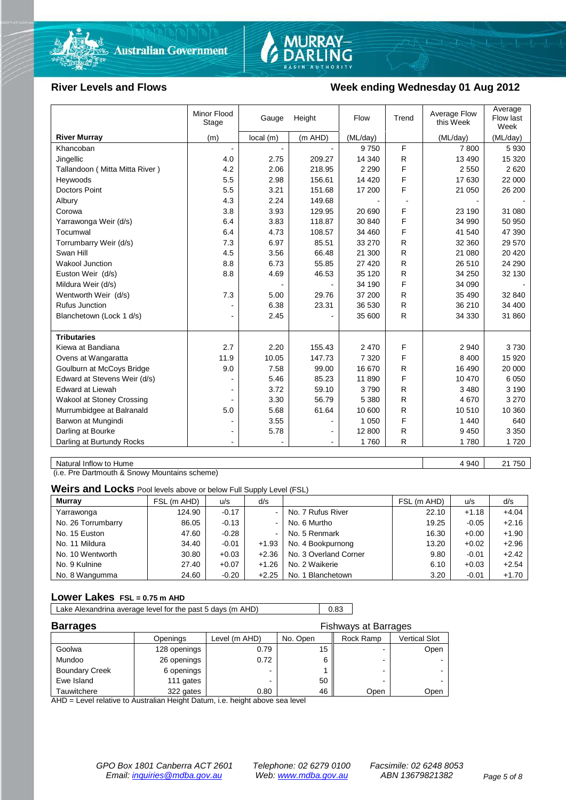

# MURRAY-<br>DARLING

#### **River Levels and Flows Week ending Wednesday 01 Aug 2012**

|                                | Minor Flood<br>Stage | Gauge     | Height  | Flow     | Trend | Average Flow<br>this Week | Average<br>Flow last<br>Week |
|--------------------------------|----------------------|-----------|---------|----------|-------|---------------------------|------------------------------|
| <b>River Murray</b>            | (m)                  | local (m) | (m AHD) | (ML/day) |       | (ML/day)                  | (ML/day)                     |
| Khancoban                      | $\sim$               |           |         | 9750     | F     | 7800                      | 5930                         |
| Jingellic                      | 4.0                  | 2.75      | 209.27  | 14 340   | R     | 13 4 9 0                  | 15 3 20                      |
| Tallandoon (Mitta Mitta River) | 4.2                  | 2.06      | 218.95  | 2 2 9 0  | F     | 2 5 5 0                   | 2620                         |
| Heywoods                       | 5.5                  | 2.98      | 156.61  | 14 4 20  | F     | 17 630                    | 22 000                       |
| <b>Doctors Point</b>           | 5.5                  | 3.21      | 151.68  | 17 200   | F     | 21 050                    | 26 200                       |
| Albury                         | 4.3                  | 2.24      | 149.68  |          |       |                           |                              |
| Corowa                         | 3.8                  | 3.93      | 129.95  | 20 690   | F     | 23 190                    | 31 080                       |
| Yarrawonga Weir (d/s)          | 6.4                  | 3.83      | 118.87  | 30 840   | F     | 34 990                    | 50 950                       |
| Tocumwal                       | 6.4                  | 4.73      | 108.57  | 34 460   | F     | 41 540                    | 47 390                       |
| Torrumbarry Weir (d/s)         | 7.3                  | 6.97      | 85.51   | 33 270   | R     | 32 360                    | 29 570                       |
| Swan Hill                      | 4.5                  | 3.56      | 66.48   | 21 300   | R     | 21 080                    | 20 4 20                      |
| <b>Wakool Junction</b>         | 8.8                  | 6.73      | 55.85   | 27 4 20  | R     | 26 510                    | 24 290                       |
| Euston Weir (d/s)              | 8.8                  | 4.69      | 46.53   | 35 120   | R     | 34 250                    | 32 130                       |
| Mildura Weir (d/s)             |                      |           |         | 34 190   | F     | 34 090                    |                              |
| Wentworth Weir (d/s)           | 7.3                  | 5.00      | 29.76   | 37 200   | R     | 35 490                    | 32 840                       |
| <b>Rufus Junction</b>          |                      | 6.38      | 23.31   | 36 530   | R     | 36 210                    | 34 400                       |
| Blanchetown (Lock 1 d/s)       | ۰                    | 2.45      |         | 35 600   | R     | 34 330                    | 31 860                       |
|                                |                      |           |         |          |       |                           |                              |
| <b>Tributaries</b>             |                      |           |         |          |       |                           |                              |
| Kiewa at Bandiana              | 2.7                  | 2.20      | 155.43  | 2 4 7 0  | F     | 2 9 4 0                   | 3730                         |
| Ovens at Wangaratta            | 11.9                 | 10.05     | 147.73  | 7 3 2 0  | F     | 8 4 0 0                   | 15 9 20                      |
| Goulburn at McCoys Bridge      | 9.0                  | 7.58      | 99.00   | 16 670   | R     | 16 490                    | 20 000                       |
| Edward at Stevens Weir (d/s)   |                      | 5.46      | 85.23   | 11 890   | F     | 10 470                    | 6 0 5 0                      |
| <b>Edward at Liewah</b>        |                      | 3.72      | 59.10   | 3790     | R     | 3 4 8 0                   | 3 1 9 0                      |
| Wakool at Stoney Crossing      |                      | 3.30      | 56.79   | 5 3 8 0  | R     | 4670                      | 3 2 7 0                      |
| Murrumbidgee at Balranald      | 5.0                  | 5.68      | 61.64   | 10 600   | R     | 10510                     | 10 360                       |
| Barwon at Mungindi             |                      | 3.55      |         | 1 0 5 0  | F     | 1 4 4 0                   | 640                          |
| Darling at Bourke              | $\blacksquare$       | 5.78      |         | 12 800   | R     | 9 4 5 0                   | 3 3 5 0                      |
| Darling at Burtundy Rocks      |                      |           |         | 1760     | R     | 1780                      | 1720                         |

Natural Inflow to Hume 4 940 21 750

(i.e. Pre Dartmouth & Snowy Mountains scheme)

**Weirs and Locks** Pool levels above or below Full Supply Level (FSL)

| Murray             | FSL (m AHD) | u/s     | d/s            |                       | FSL (m AHD) | u/s     | d/s     |
|--------------------|-------------|---------|----------------|-----------------------|-------------|---------|---------|
| Yarrawonga         | 124.90      | $-0.17$ | $\blacksquare$ | No. 7 Rufus River     | 22.10       | $+1.18$ | $+4.04$ |
| No. 26 Torrumbarry | 86.05       | $-0.13$ | $\blacksquare$ | No. 6 Murtho          | 19.25       | $-0.05$ | $+2.16$ |
| No. 15 Euston      | 47.60       | $-0.28$ | $\blacksquare$ | No. 5 Renmark         | 16.30       | $+0.00$ | $+1.90$ |
| No. 11 Mildura     | 34.40       | $-0.01$ | $+1.93$        | No. 4 Bookpurnong     | 13.20       | $+0.02$ | $+2.96$ |
| No. 10 Wentworth   | 30.80       | $+0.03$ | $+2.36$        | No. 3 Overland Corner | 9.80        | $-0.01$ | $+2.42$ |
| No. 9 Kulnine      | 27.40       | $+0.07$ | $+1.26$        | No. 2 Waikerie        | 6.10        | $+0.03$ | $+2.54$ |
| No. 8 Wangumma     | 24.60       | $-0.20$ | $+2.25$        | No. 1 Blanchetown     | 3.20        | $-0.01$ | $+1.70$ |

#### **Lower Lakes FSL = 0.75 m AHD**

Lake Alexandrina average level for the past 5 days (m AHD) 0.83

| <b>Barrages</b>       | Fishways at Barrages |               |          |           |               |
|-----------------------|----------------------|---------------|----------|-----------|---------------|
|                       | Openings             | Level (m AHD) | No. Open | Rock Ramp | Vertical Slot |
| Goolwa                | 128 openings         | 0.79          | 15       |           | Open          |
| Mundoo                | 26 openings          | 0.72          |          | -         |               |
| <b>Boundary Creek</b> | 6 openings           | -             |          |           |               |
| Ewe Island            | 111 gates            |               | 50       |           |               |
| Tauwitchere           | 322 gates            | 0.80          | 46       | Open      | Open          |

AHD = Level relative to Australian Height Datum, i.e. height above sea level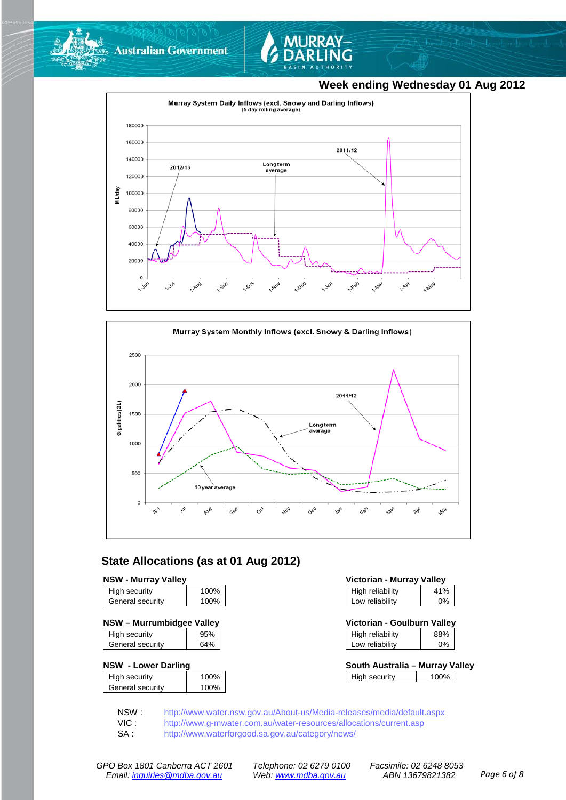



#### **Week ending Wednesday 01 Aug 2012**





#### **State Allocations (as at 01 Aug 2012)**

| <b>NSW - Murray Valley</b> |  |
|----------------------------|--|
|----------------------------|--|

| High security    | 100% |
|------------------|------|
| General security | 100% |
|                  |      |

|  |  | NSW - Murrumbidgee Valley |  |
|--|--|---------------------------|--|
|--|--|---------------------------|--|

| High security    | 95% |
|------------------|-----|
| General security | 64% |
|                  |     |

#### **NSW - Lower Darling**

| High security    | 100% |
|------------------|------|
| General security | 100% |
|                  |      |

| <b>NSW - Murrav Vallev</b> |      | Victorian - Murray Valley |     |
|----------------------------|------|---------------------------|-----|
| High security              | 100% | High reliability          | 41% |
| General security           | 100% | Low reliability           | 0%  |

| NSW – Murrumbidgee Valley |     | Victorian - Goulburn Valley |     |
|---------------------------|-----|-----------------------------|-----|
| High security             | 95% | High reliability            | 88% |
| General security          | 64% | Low reliability             | 0%  |

| South Australia – Murray Valley |      |  |
|---------------------------------|------|--|
| High security                   | 100% |  |

NSW : <http://www.water.nsw.gov.au/About-us/Media-releases/media/default.aspx><br>VIC : http://www.g-mwater.com.au/water-resources/allocations/current.asp

VIC : <http://www.g-mwater.com.au/water-resources/allocations/current.asp><br>SA : http://www.waterforgood.sa.gov.au/category/news/

<http://www.waterforgood.sa.gov.au/category/news/>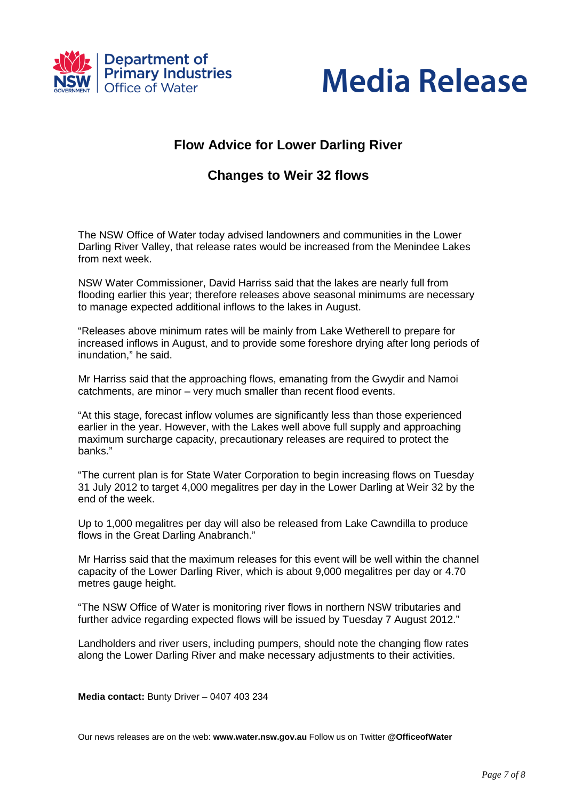



## **Flow Advice for Lower Darling River**

### **Changes to Weir 32 flows**

The NSW Office of Water today advised landowners and communities in the Lower Darling River Valley, that release rates would be increased from the Menindee Lakes from next week.

NSW Water Commissioner, David Harriss said that the lakes are nearly full from flooding earlier this year; therefore releases above seasonal minimums are necessary to manage expected additional inflows to the lakes in August.

"Releases above minimum rates will be mainly from Lake Wetherell to prepare for increased inflows in August, and to provide some foreshore drying after long periods of inundation," he said.

Mr Harriss said that the approaching flows, emanating from the Gwydir and Namoi catchments, are minor – very much smaller than recent flood events.

"At this stage, forecast inflow volumes are significantly less than those experienced earlier in the year. However, with the Lakes well above full supply and approaching maximum surcharge capacity, precautionary releases are required to protect the banks."

"The current plan is for State Water Corporation to begin increasing flows on Tuesday 31 July 2012 to target 4,000 megalitres per day in the Lower Darling at Weir 32 by the end of the week.

Up to 1,000 megalitres per day will also be released from Lake Cawndilla to produce flows in the Great Darling Anabranch."

Mr Harriss said that the maximum releases for this event will be well within the channel capacity of the Lower Darling River, which is about 9,000 megalitres per day or 4.70 metres gauge height.

"The NSW Office of Water is monitoring river flows in northern NSW tributaries and further advice regarding expected flows will be issued by Tuesday 7 August 2012."

Landholders and river users, including pumpers, should note the changing flow rates along the Lower Darling River and make necessary adjustments to their activities.

**Media contact:** Bunty Driver – 0407 403 234

Our news releases are on the web: **www.water.nsw.gov.au** Follow us on Twitter **@OfficeofWater**